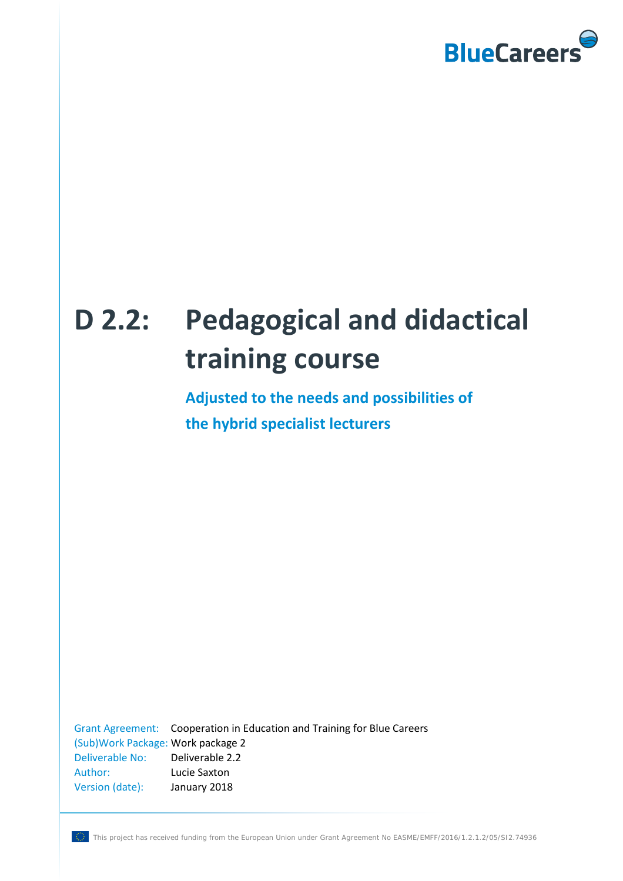

# **D 2.2: Pedagogical and didactical training course**

**Adjusted to the needs and possibilities of the hybrid specialist lecturers**

Grant Agreement: Cooperation in Education and Training for Blue Careers (Sub)Work Package: Work package 2 Deliverable No: Deliverable 2.2 Author: Lucie Saxton Version (date): January 2018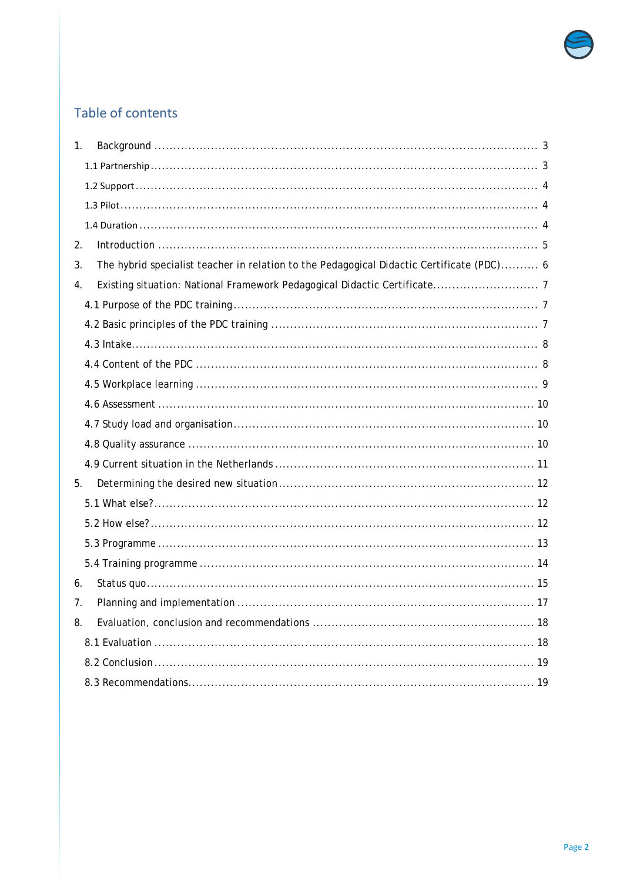

# Table of contents

| 1.                                                                                              |
|-------------------------------------------------------------------------------------------------|
|                                                                                                 |
|                                                                                                 |
|                                                                                                 |
|                                                                                                 |
| 2.                                                                                              |
| The hybrid specialist teacher in relation to the Pedagogical Didactic Certificate (PDC) 6<br>3. |
| 4.                                                                                              |
|                                                                                                 |
|                                                                                                 |
|                                                                                                 |
|                                                                                                 |
|                                                                                                 |
|                                                                                                 |
|                                                                                                 |
|                                                                                                 |
|                                                                                                 |
| 5.                                                                                              |
|                                                                                                 |
|                                                                                                 |
|                                                                                                 |
|                                                                                                 |
| 6.                                                                                              |
| 7.                                                                                              |
| 8.                                                                                              |
|                                                                                                 |
|                                                                                                 |
|                                                                                                 |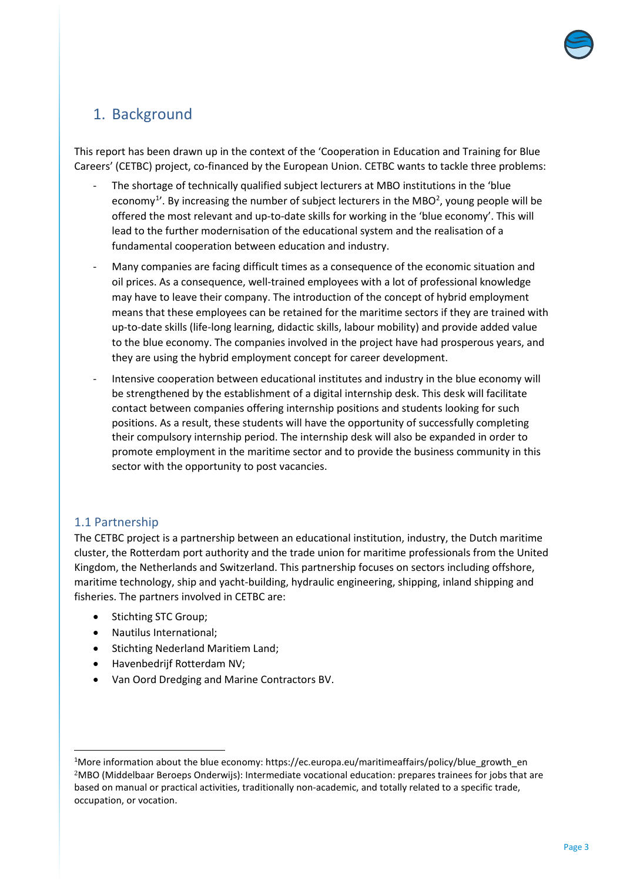

## <span id="page-2-0"></span>1. Background

This report has been drawn up in the context of the 'Cooperation in Education and Training for Blue Careers' (CETBC) project, co-financed by the European Union. CETBC wants to tackle three problems:

- The shortage of technically qualified subject lecturers at MBO institutions in the 'blue economy<sup>[1](#page-2-2)</sup>'. By increasing the number of subject lecturers in the MBO<sup>[2](#page-2-3)</sup>, young people will be offered the most relevant and up-to-date skills for working in the 'blue economy'. This will lead to the further modernisation of the educational system and the realisation of a fundamental cooperation between education and industry.
- Many companies are facing difficult times as a consequence of the economic situation and oil prices. As a consequence, well-trained employees with a lot of professional knowledge may have to leave their company. The introduction of the concept of hybrid employment means that these employees can be retained for the maritime sectors if they are trained with up-to-date skills (life-long learning, didactic skills, labour mobility) and provide added value to the blue economy. The companies involved in the project have had prosperous years, and they are using the hybrid employment concept for career development.
- Intensive cooperation between educational institutes and industry in the blue economy will be strengthened by the establishment of a digital internship desk. This desk will facilitate contact between companies offering internship positions and students looking for such positions. As a result, these students will have the opportunity of successfully completing their compulsory internship period. The internship desk will also be expanded in order to promote employment in the maritime sector and to provide the business community in this sector with the opportunity to post vacancies.

## <span id="page-2-1"></span>1.1 Partnership

 $\overline{a}$ 

The CETBC project is a partnership between an educational institution, industry, the Dutch maritime cluster, the Rotterdam port authority and the trade union for maritime professionals from the United Kingdom, the Netherlands and Switzerland. This partnership focuses on sectors including offshore, maritime technology, ship and yacht-building, hydraulic engineering, shipping, inland shipping and fisheries. The partners involved in CETBC are:

- Stichting STC Group;
- Nautilus International;
- Stichting Nederland Maritiem Land;
- Havenbedrijf Rotterdam NV;
- Van Oord Dredging and Marine Contractors BV.

<span id="page-2-3"></span><span id="page-2-2"></span><sup>&</sup>lt;sup>1</sup>More information about the blue economy: https://ec.europa.eu/maritimeaffairs/policy/blue\_growth\_en <sup>2</sup>MBO (Middelbaar Beroeps Onderwijs): Intermediate vocational education: prepares trainees for jobs that are based on manual or practical activities, traditionally non-academic, and totally related to a specific trade, occupation, or vocation.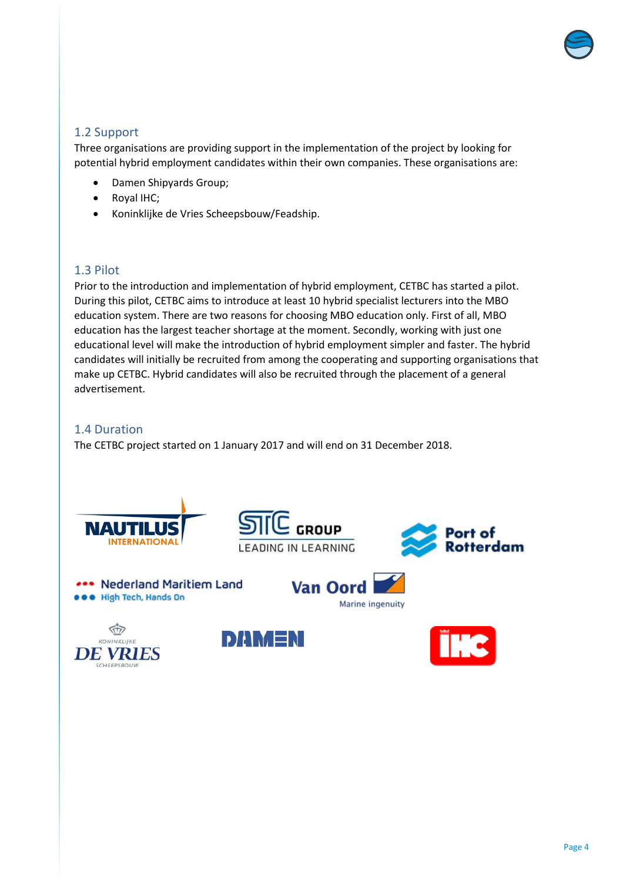

## <span id="page-3-0"></span>1.2 Support

Three organisations are providing support in the implementation of the project by looking for potential hybrid employment candidates within their own companies. These organisations are:

- Damen Shipyards Group;
- Royal IHC;
- Koninklijke de Vries Scheepsbouw/Feadship.

#### <span id="page-3-1"></span>1.3 Pilot

Prior to the introduction and implementation of hybrid employment, CETBC has started a pilot. During this pilot, CETBC aims to introduce at least 10 hybrid specialist lecturers into the MBO education system. There are two reasons for choosing MBO education only. First of all, MBO education has the largest teacher shortage at the moment. Secondly, working with just one educational level will make the introduction of hybrid employment simpler and faster. The hybrid candidates will initially be recruited from among the cooperating and supporting organisations that make up CETBC. Hybrid candidates will also be recruited through the placement of a general advertisement.

#### <span id="page-3-2"></span>1.4 Duration

The CETBC project started on 1 January 2017 and will end on 31 December 2018.

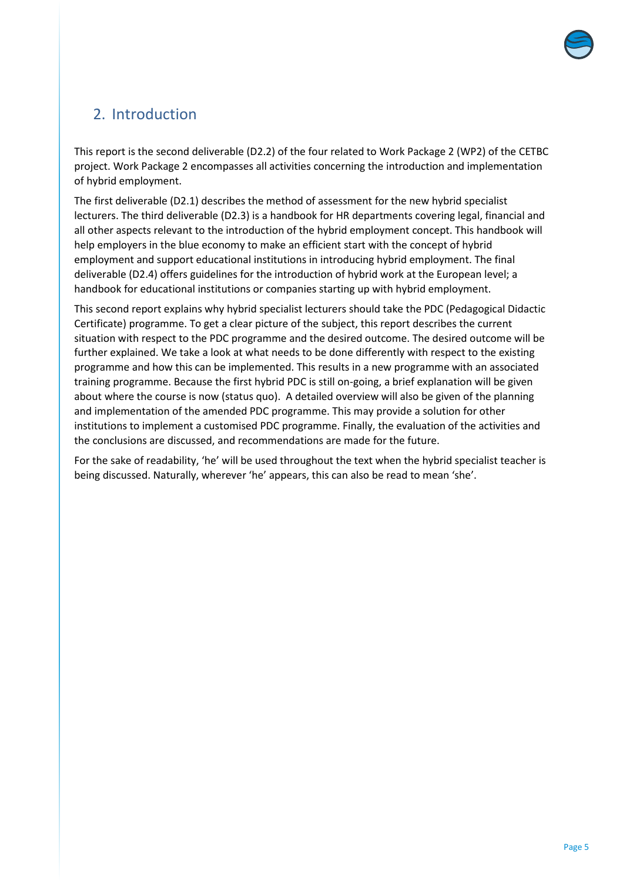

# <span id="page-4-0"></span>2. Introduction

This report is the second deliverable (D2.2) of the four related to Work Package 2 (WP2) of the CETBC project. Work Package 2 encompasses all activities concerning the introduction and implementation of hybrid employment.

The first deliverable (D2.1) describes the method of assessment for the new hybrid specialist lecturers. The third deliverable (D2.3) is a handbook for HR departments covering legal, financial and all other aspects relevant to the introduction of the hybrid employment concept. This handbook will help employers in the blue economy to make an efficient start with the concept of hybrid employment and support educational institutions in introducing hybrid employment. The final deliverable (D2.4) offers guidelines for the introduction of hybrid work at the European level; a handbook for educational institutions or companies starting up with hybrid employment.

This second report explains why hybrid specialist lecturers should take the PDC (Pedagogical Didactic Certificate) programme. To get a clear picture of the subject, this report describes the current situation with respect to the PDC programme and the desired outcome. The desired outcome will be further explained. We take a look at what needs to be done differently with respect to the existing programme and how this can be implemented. This results in a new programme with an associated training programme. Because the first hybrid PDC is still on-going, a brief explanation will be given about where the course is now (status quo). A detailed overview will also be given of the planning and implementation of the amended PDC programme. This may provide a solution for other institutions to implement a customised PDC programme. Finally, the evaluation of the activities and the conclusions are discussed, and recommendations are made for the future.

For the sake of readability, 'he' will be used throughout the text when the hybrid specialist teacher is being discussed. Naturally, wherever 'he' appears, this can also be read to mean 'she'.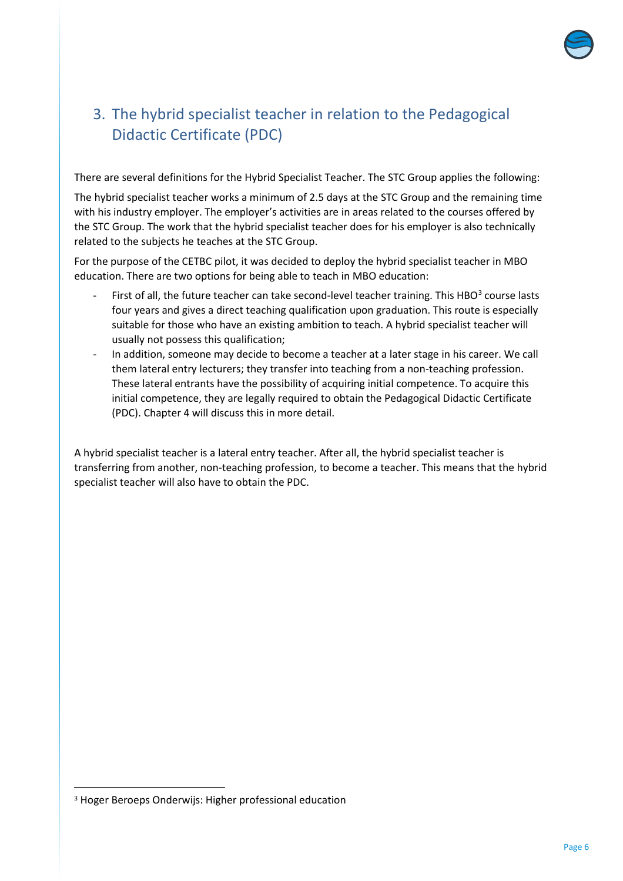

# <span id="page-5-0"></span>3. The hybrid specialist teacher in relation to the Pedagogical Didactic Certificate (PDC)

There are several definitions for the Hybrid Specialist Teacher. The STC Group applies the following:

The hybrid specialist teacher works a minimum of 2.5 days at the STC Group and the remaining time with his industry employer. The employer's activities are in areas related to the courses offered by the STC Group. The work that the hybrid specialist teacher does for his employer is also technically related to the subjects he teaches at the STC Group.

For the purpose of the CETBC pilot, it was decided to deploy the hybrid specialist teacher in MBO education. There are two options for being able to teach in MBO education:

- First of all, the future teacher can take second-level teacher training. This HBO $3$  course lasts four years and gives a direct teaching qualification upon graduation. This route is especially suitable for those who have an existing ambition to teach. A hybrid specialist teacher will usually not possess this qualification;
- In addition, someone may decide to become a teacher at a later stage in his career. We call them lateral entry lecturers; they transfer into teaching from a non-teaching profession. These lateral entrants have the possibility of acquiring initial competence. To acquire this initial competence, they are legally required to obtain the Pedagogical Didactic Certificate (PDC). Chapter 4 will discuss this in more detail.

A hybrid specialist teacher is a lateral entry teacher. After all, the hybrid specialist teacher is transferring from another, non-teaching profession, to become a teacher. This means that the hybrid specialist teacher will also have to obtain the PDC.

-

<span id="page-5-1"></span><sup>3</sup> Hoger Beroeps Onderwijs: Higher professional education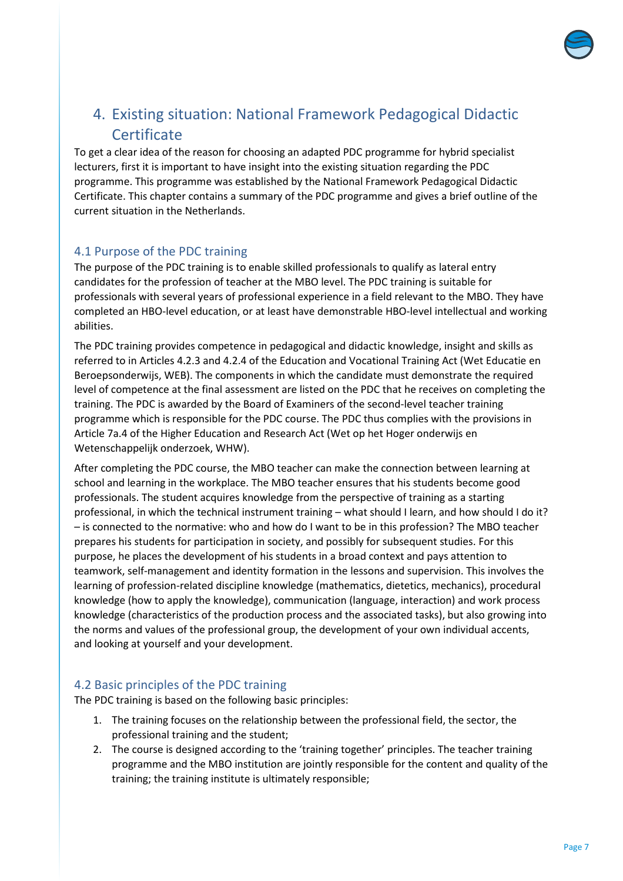

## <span id="page-6-0"></span>4. Existing situation: National Framework Pedagogical Didactic **Certificate**

To get a clear idea of the reason for choosing an adapted PDC programme for hybrid specialist lecturers, first it is important to have insight into the existing situation regarding the PDC programme. This programme was established by the National Framework Pedagogical Didactic Certificate. This chapter contains a summary of the PDC programme and gives a brief outline of the current situation in the Netherlands.

## <span id="page-6-1"></span>4.1 Purpose of the PDC training

The purpose of the PDC training is to enable skilled professionals to qualify as lateral entry candidates for the profession of teacher at the MBO level. The PDC training is suitable for professionals with several years of professional experience in a field relevant to the MBO. They have completed an HBO-level education, or at least have demonstrable HBO-level intellectual and working abilities.

The PDC training provides competence in pedagogical and didactic knowledge, insight and skills as referred to in Articles 4.2.3 and 4.2.4 of the Education and Vocational Training Act (Wet Educatie en Beroepsonderwijs, WEB). The components in which the candidate must demonstrate the required level of competence at the final assessment are listed on the PDC that he receives on completing the training. The PDC is awarded by the Board of Examiners of the second-level teacher training programme which is responsible for the PDC course. The PDC thus complies with the provisions in Article 7a.4 of the Higher Education and Research Act (Wet op het Hoger onderwijs en Wetenschappelijk onderzoek, WHW).

After completing the PDC course, the MBO teacher can make the connection between learning at school and learning in the workplace. The MBO teacher ensures that his students become good professionals. The student acquires knowledge from the perspective of training as a starting professional, in which the technical instrument training – what should I learn, and how should I do it? – is connected to the normative: who and how do I want to be in this profession? The MBO teacher prepares his students for participation in society, and possibly for subsequent studies. For this purpose, he places the development of his students in a broad context and pays attention to teamwork, self-management and identity formation in the lessons and supervision. This involves the learning of profession-related discipline knowledge (mathematics, dietetics, mechanics), procedural knowledge (how to apply the knowledge), communication (language, interaction) and work process knowledge (characteristics of the production process and the associated tasks), but also growing into the norms and values of the professional group, the development of your own individual accents, and looking at yourself and your development.

## <span id="page-6-2"></span>4.2 Basic principles of the PDC training

The PDC training is based on the following basic principles:

- 1. The training focuses on the relationship between the professional field, the sector, the professional training and the student;
- 2. The course is designed according to the 'training together' principles. The teacher training programme and the MBO institution are jointly responsible for the content and quality of the training; the training institute is ultimately responsible;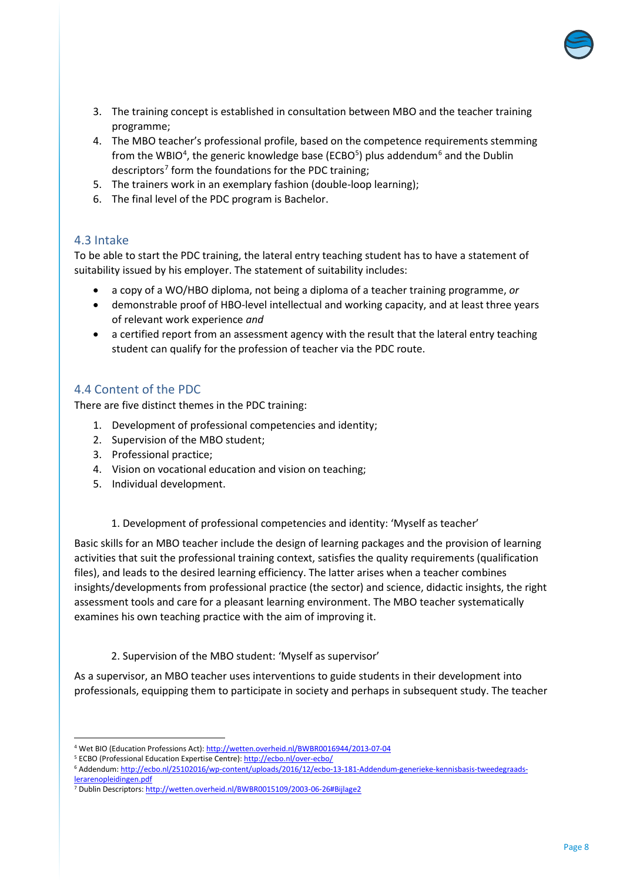

- 3. The training concept is established in consultation between MBO and the teacher training programme;
- 4. The MBO teacher's professional profile, based on the competence requirements stemming from the WBIO<sup>[4](#page-7-2)</sup>, the generic knowledge base (ECBO<sup>5</sup>) plus addendum<sup>[6](#page-7-4)</sup> and the Dublin descriptors<sup>[7](#page-7-5)</sup> form the foundations for the PDC training;
- 5. The trainers work in an exemplary fashion (double-loop learning);
- 6. The final level of the PDC program is Bachelor.

#### <span id="page-7-0"></span>4.3 Intake

 $\overline{a}$ 

To be able to start the PDC training, the lateral entry teaching student has to have a statement of suitability issued by his employer. The statement of suitability includes:

- a copy of a WO/HBO diploma, not being a diploma of a teacher training programme, *or*
- demonstrable proof of HBO-level intellectual and working capacity, and at least three years of relevant work experience *and*
- a certified report from an assessment agency with the result that the lateral entry teaching student can qualify for the profession of teacher via the PDC route.

#### <span id="page-7-1"></span>4.4 Content of the PDC

There are five distinct themes in the PDC training:

- 1. Development of professional competencies and identity;
- 2. Supervision of the MBO student;
- 3. Professional practice;
- 4. Vision on vocational education and vision on teaching;
- 5. Individual development.
	- 1. Development of professional competencies and identity: 'Myself as teacher'

Basic skills for an MBO teacher include the design of learning packages and the provision of learning activities that suit the professional training context, satisfies the quality requirements (qualification files), and leads to the desired learning efficiency. The latter arises when a teacher combines insights/developments from professional practice (the sector) and science, didactic insights, the right assessment tools and care for a pleasant learning environment. The MBO teacher systematically examines his own teaching practice with the aim of improving it.

2. Supervision of the MBO student: 'Myself as supervisor'

As a supervisor, an MBO teacher uses interventions to guide students in their development into professionals, equipping them to participate in society and perhaps in subsequent study. The teacher

<span id="page-7-2"></span><sup>4</sup> Wet BIO (Education Professions Act)[: http://wetten.overheid.nl/BWBR0016944/2013-07-04](http://wetten.overheid.nl/BWBR0016944/2013-07-04)

<span id="page-7-3"></span><sup>&</sup>lt;sup>5</sup> ECBO (Professional Education Expertise Centre)[: http://ecbo.nl/over-ecbo/](http://ecbo.nl/over-ecbo/)

<span id="page-7-4"></span><sup>6</sup> Addendum[: http://ecbo.nl/25102016/wp-content/uploads/2016/12/ecbo-13-181-Addendum-generieke-kennisbasis-tweedegraads](http://ecbo.nl/25102016/wp-content/uploads/2016/12/ecbo-13-181-Addendum-generieke-kennisbasis-tweedegraads-lerarenopleidingen.pdf)[lerarenopleidingen.pdf](http://ecbo.nl/25102016/wp-content/uploads/2016/12/ecbo-13-181-Addendum-generieke-kennisbasis-tweedegraads-lerarenopleidingen.pdf)

<span id="page-7-5"></span><sup>7</sup> Dublin Descriptors[: http://wetten.overheid.nl/BWBR0015109/2003-06-26#Bijlage2](http://wetten.overheid.nl/BWBR0015109/2003-06-26#Bijlage2)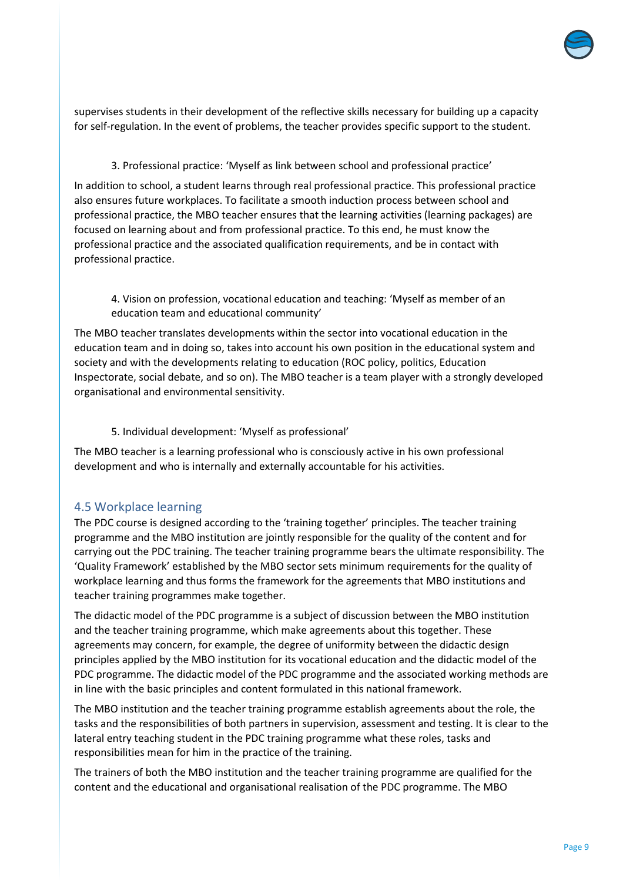

supervises students in their development of the reflective skills necessary for building up a capacity for self-regulation. In the event of problems, the teacher provides specific support to the student.

3. Professional practice: 'Myself as link between school and professional practice'

In addition to school, a student learns through real professional practice. This professional practice also ensures future workplaces. To facilitate a smooth induction process between school and professional practice, the MBO teacher ensures that the learning activities (learning packages) are focused on learning about and from professional practice. To this end, he must know the professional practice and the associated qualification requirements, and be in contact with professional practice.

4. Vision on profession, vocational education and teaching: 'Myself as member of an education team and educational community'

The MBO teacher translates developments within the sector into vocational education in the education team and in doing so, takes into account his own position in the educational system and society and with the developments relating to education (ROC policy, politics, Education Inspectorate, social debate, and so on). The MBO teacher is a team player with a strongly developed organisational and environmental sensitivity.

5. Individual development: 'Myself as professional'

The MBO teacher is a learning professional who is consciously active in his own professional development and who is internally and externally accountable for his activities.

#### <span id="page-8-0"></span>4.5 Workplace learning

The PDC course is designed according to the 'training together' principles. The teacher training programme and the MBO institution are jointly responsible for the quality of the content and for carrying out the PDC training. The teacher training programme bears the ultimate responsibility. The 'Quality Framework' established by the MBO sector sets minimum requirements for the quality of workplace learning and thus forms the framework for the agreements that MBO institutions and teacher training programmes make together.

The didactic model of the PDC programme is a subject of discussion between the MBO institution and the teacher training programme, which make agreements about this together. These agreements may concern, for example, the degree of uniformity between the didactic design principles applied by the MBO institution for its vocational education and the didactic model of the PDC programme. The didactic model of the PDC programme and the associated working methods are in line with the basic principles and content formulated in this national framework.

The MBO institution and the teacher training programme establish agreements about the role, the tasks and the responsibilities of both partners in supervision, assessment and testing. It is clear to the lateral entry teaching student in the PDC training programme what these roles, tasks and responsibilities mean for him in the practice of the training.

The trainers of both the MBO institution and the teacher training programme are qualified for the content and the educational and organisational realisation of the PDC programme. The MBO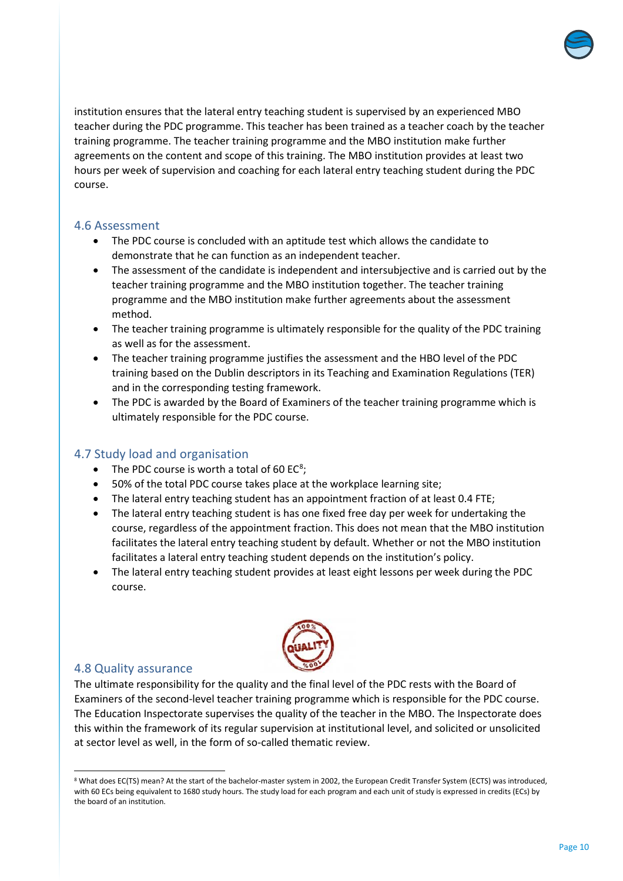

institution ensures that the lateral entry teaching student is supervised by an experienced MBO teacher during the PDC programme. This teacher has been trained as a teacher coach by the teacher training programme. The teacher training programme and the MBO institution make further agreements on the content and scope of this training. The MBO institution provides at least two hours per week of supervision and coaching for each lateral entry teaching student during the PDC course.

#### <span id="page-9-0"></span>4.6 Assessment

- The PDC course is concluded with an aptitude test which allows the candidate to demonstrate that he can function as an independent teacher.
- The assessment of the candidate is independent and intersubjective and is carried out by the teacher training programme and the MBO institution together. The teacher training programme and the MBO institution make further agreements about the assessment method.
- The teacher training programme is ultimately responsible for the quality of the PDC training as well as for the assessment.
- The teacher training programme justifies the assessment and the HBO level of the PDC training based on the Dublin descriptors in its Teaching and Examination Regulations (TER) and in the corresponding testing framework.
- The PDC is awarded by the Board of Examiners of the teacher training programme which is ultimately responsible for the PDC course.

#### <span id="page-9-1"></span>4.7 Study load and organisation

- The PDC course is worth a total of 60  $EC^8$  $EC^8$ ;
- 50% of the total PDC course takes place at the workplace learning site;
- The lateral entry teaching student has an appointment fraction of at least 0.4 FTE;
- The lateral entry teaching student is has one fixed free day per week for undertaking the course, regardless of the appointment fraction. This does not mean that the MBO institution facilitates the lateral entry teaching student by default. Whether or not the MBO institution facilitates a lateral entry teaching student depends on the institution's policy.
- The lateral entry teaching student provides at least eight lessons per week during the PDC course.



#### <span id="page-9-2"></span>4.8 Quality assurance

The ultimate responsibility for the quality and the final level of the PDC rests with the Board of Examiners of the second-level teacher training programme which is responsible for the PDC course. The Education Inspectorate supervises the quality of the teacher in the MBO. The Inspectorate does this within the framework of its regular supervision at institutional level, and solicited or unsolicited at sector level as well, in the form of so-called thematic review.

<span id="page-9-3"></span> $\overline{a}$ 8 What does EC(TS) mean? At the start of the bachelor-master system in 2002, the European Credit Transfer System (ECTS) was introduced, with 60 ECs being equivalent to 1680 study hours. The study load for each program and each unit of study is expressed in credits (ECs) by the board of an institution.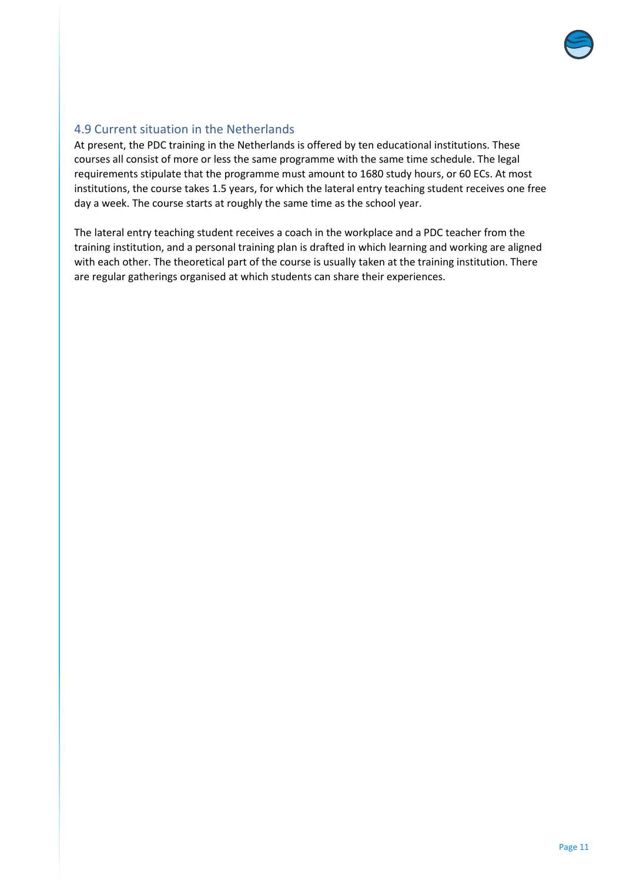

## <span id="page-10-0"></span>4.9 Current situation in the Netherlands

At present, the PDC training in the Netherlands is offered by ten educational institutions. These courses all consist of more or less the same programme with the same time schedule. The legal requirements stipulate that the programme must amount to 1680 study hours, or 60 ECs. At most institutions, the course takes 1.5 years, for which the lateral entry teaching student receives one free day a week. The course starts at roughly the same time as the school year.

The lateral entry teaching student receives a coach in the workplace and a PDC teacher from the training institution, and a personal training plan is drafted in which learning and working are aligned with each other. The theoretical part of the course is usually taken at the training institution. There are regular gatherings organised at which students can share their experiences.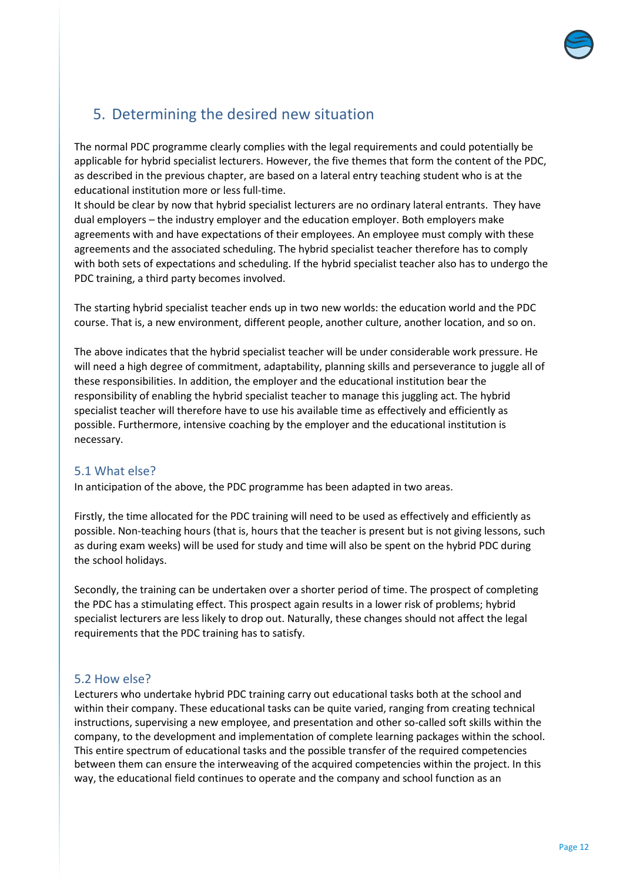

# <span id="page-11-0"></span>5. Determining the desired new situation

The normal PDC programme clearly complies with the legal requirements and could potentially be applicable for hybrid specialist lecturers. However, the five themes that form the content of the PDC, as described in the previous chapter, are based on a lateral entry teaching student who is at the educational institution more or less full-time.

It should be clear by now that hybrid specialist lecturers are no ordinary lateral entrants. They have dual employers – the industry employer and the education employer. Both employers make agreements with and have expectations of their employees. An employee must comply with these agreements and the associated scheduling. The hybrid specialist teacher therefore has to comply with both sets of expectations and scheduling. If the hybrid specialist teacher also has to undergo the PDC training, a third party becomes involved.

The starting hybrid specialist teacher ends up in two new worlds: the education world and the PDC course. That is, a new environment, different people, another culture, another location, and so on.

The above indicates that the hybrid specialist teacher will be under considerable work pressure. He will need a high degree of commitment, adaptability, planning skills and perseverance to juggle all of these responsibilities. In addition, the employer and the educational institution bear the responsibility of enabling the hybrid specialist teacher to manage this juggling act. The hybrid specialist teacher will therefore have to use his available time as effectively and efficiently as possible. Furthermore, intensive coaching by the employer and the educational institution is necessary.

#### <span id="page-11-1"></span>5.1 What else?

In anticipation of the above, the PDC programme has been adapted in two areas.

Firstly, the time allocated for the PDC training will need to be used as effectively and efficiently as possible. Non-teaching hours (that is, hours that the teacher is present but is not giving lessons, such as during exam weeks) will be used for study and time will also be spent on the hybrid PDC during the school holidays.

Secondly, the training can be undertaken over a shorter period of time. The prospect of completing the PDC has a stimulating effect. This prospect again results in a lower risk of problems; hybrid specialist lecturers are less likely to drop out. Naturally, these changes should not affect the legal requirements that the PDC training has to satisfy.

#### <span id="page-11-2"></span>5.2 How else?

Lecturers who undertake hybrid PDC training carry out educational tasks both at the school and within their company. These educational tasks can be quite varied, ranging from creating technical instructions, supervising a new employee, and presentation and other so-called soft skills within the company, to the development and implementation of complete learning packages within the school. This entire spectrum of educational tasks and the possible transfer of the required competencies between them can ensure the interweaving of the acquired competencies within the project. In this way, the educational field continues to operate and the company and school function as an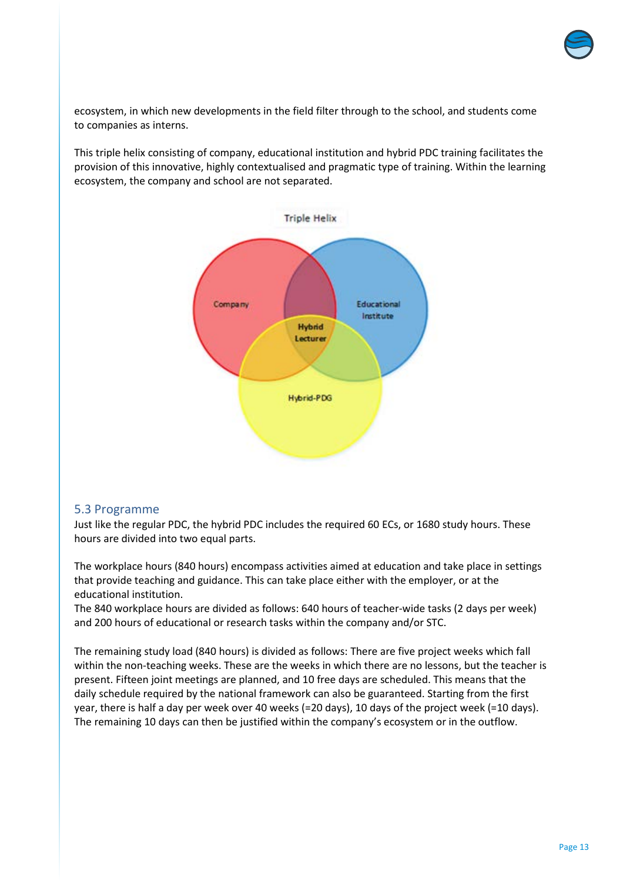

ecosystem, in which new developments in the field filter through to the school, and students come to companies as interns.

This triple helix consisting of company, educational institution and hybrid PDC training facilitates the provision of this innovative, highly contextualised and pragmatic type of training. Within the learning ecosystem, the company and school are not separated.



#### <span id="page-12-0"></span>5.3 Programme

Just like the regular PDC, the hybrid PDC includes the required 60 ECs, or 1680 study hours. These hours are divided into two equal parts.

The workplace hours (840 hours) encompass activities aimed at education and take place in settings that provide teaching and guidance. This can take place either with the employer, or at the educational institution.

The 840 workplace hours are divided as follows: 640 hours of teacher-wide tasks (2 days per week) and 200 hours of educational or research tasks within the company and/or STC.

The remaining study load (840 hours) is divided as follows: There are five project weeks which fall within the non-teaching weeks. These are the weeks in which there are no lessons, but the teacher is present. Fifteen joint meetings are planned, and 10 free days are scheduled. This means that the daily schedule required by the national framework can also be guaranteed. Starting from the first year, there is half a day per week over 40 weeks (=20 days), 10 days of the project week (=10 days). The remaining 10 days can then be justified within the company's ecosystem or in the outflow.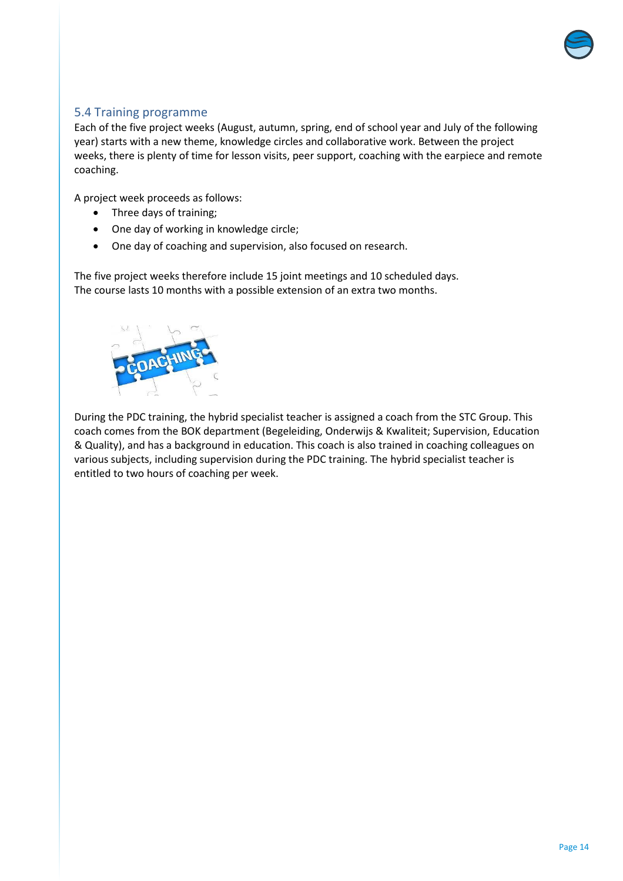

#### <span id="page-13-0"></span>5.4 Training programme

Each of the five project weeks (August, autumn, spring, end of school year and July of the following year) starts with a new theme, knowledge circles and collaborative work. Between the project weeks, there is plenty of time for lesson visits, peer support, coaching with the earpiece and remote coaching.

A project week proceeds as follows:

- Three days of training;
- One day of working in knowledge circle;
- One day of coaching and supervision, also focused on research.

The five project weeks therefore include 15 joint meetings and 10 scheduled days. The course lasts 10 months with a possible extension of an extra two months.



During the PDC training, the hybrid specialist teacher is assigned a coach from the STC Group. This coach comes from the BOK department (Begeleiding, Onderwijs & Kwaliteit; Supervision, Education & Quality), and has a background in education. This coach is also trained in coaching colleagues on various subjects, including supervision during the PDC training. The hybrid specialist teacher is entitled to two hours of coaching per week.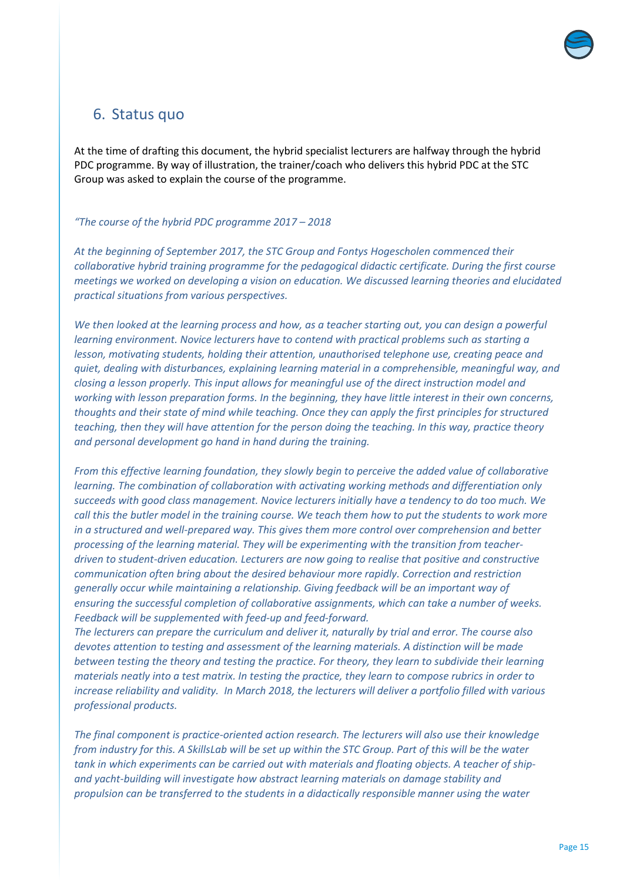

## <span id="page-14-0"></span>6. Status quo

At the time of drafting this document, the hybrid specialist lecturers are halfway through the hybrid PDC programme. By way of illustration, the trainer/coach who delivers this hybrid PDC at the STC Group was asked to explain the course of the programme.

#### *"The course of the hybrid PDC programme 2017 – 2018*

*At the beginning of September 2017, the STC Group and Fontys Hogescholen commenced their collaborative hybrid training programme for the pedagogical didactic certificate. During the first course meetings we worked on developing a vision on education. We discussed learning theories and elucidated practical situations from various perspectives.* 

*We then looked at the learning process and how, as a teacher starting out, you can design a powerful learning environment. Novice lecturers have to contend with practical problems such as starting a lesson, motivating students, holding their attention, unauthorised telephone use, creating peace and quiet, dealing with disturbances, explaining learning material in a comprehensible, meaningful way, and closing a lesson properly. This input allows for meaningful use of the direct instruction model and working with lesson preparation forms. In the beginning, they have little interest in their own concerns, thoughts and their state of mind while teaching. Once they can apply the first principles for structured teaching, then they will have attention for the person doing the teaching. In this way, practice theory and personal development go hand in hand during the training.*

*From this effective learning foundation, they slowly begin to perceive the added value of collaborative learning. The combination of collaboration with activating working methods and differentiation only succeeds with good class management. Novice lecturers initially have a tendency to do too much. We call this the butler model in the training course. We teach them how to put the students to work more in a structured and well-prepared way. This gives them more control over comprehension and better processing of the learning material. They will be experimenting with the transition from teacherdriven to student-driven education. Lecturers are now going to realise that positive and constructive communication often bring about the desired behaviour more rapidly. Correction and restriction generally occur while maintaining a relationship. Giving feedback will be an important way of ensuring the successful completion of collaborative assignments, which can take a number of weeks. Feedback will be supplemented with feed-up and feed-forward.*

*The lecturers can prepare the curriculum and deliver it, naturally by trial and error. The course also devotes attention to testing and assessment of the learning materials. A distinction will be made between testing the theory and testing the practice. For theory, they learn to subdivide their learning materials neatly into a test matrix. In testing the practice, they learn to compose rubrics in order to increase reliability and validity. In March 2018, the lecturers will deliver a portfolio filled with various professional products.* 

*The final component is practice-oriented action research. The lecturers will also use their knowledge from industry for this. A SkillsLab will be set up within the STC Group. Part of this will be the water tank in which experiments can be carried out with materials and floating objects. A teacher of shipand yacht-building will investigate how abstract learning materials on damage stability and propulsion can be transferred to the students in a didactically responsible manner using the water*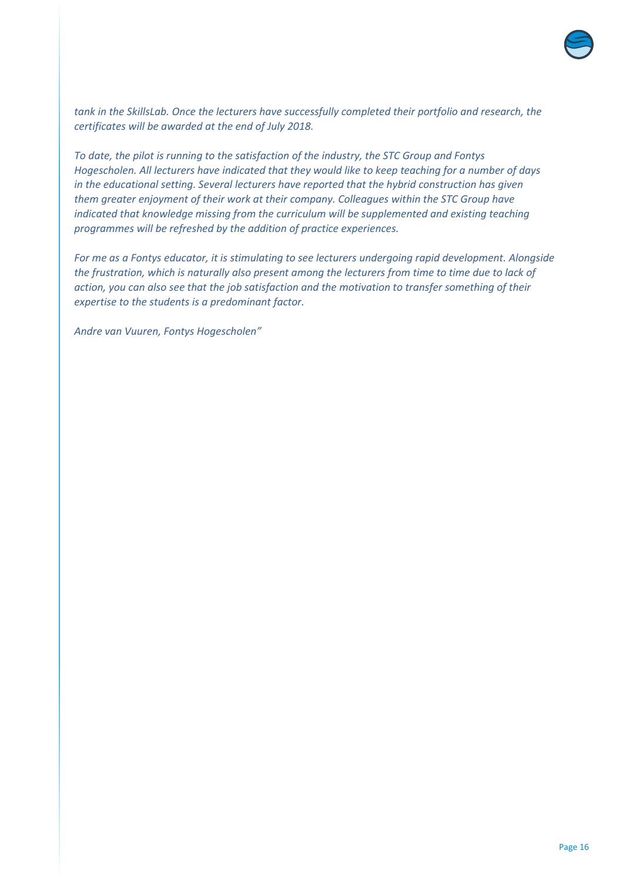

*tank in the SkillsLab. Once the lecturers have successfully completed their portfolio and research, the certificates will be awarded at the end of July 2018.* 

*To date, the pilot is running to the satisfaction of the industry, the STC Group and Fontys Hogescholen. All lecturers have indicated that they would like to keep teaching for a number of days in the educational setting. Several lecturers have reported that the hybrid construction has given them greater enjoyment of their work at their company. Colleagues within the STC Group have indicated that knowledge missing from the curriculum will be supplemented and existing teaching programmes will be refreshed by the addition of practice experiences.* 

*For me as a Fontys educator, it is stimulating to see lecturers undergoing rapid development. Alongside the frustration, which is naturally also present among the lecturers from time to time due to lack of action, you can also see that the job satisfaction and the motivation to transfer something of their expertise to the students is a predominant factor.*

*Andre van Vuuren, Fontys Hogescholen"*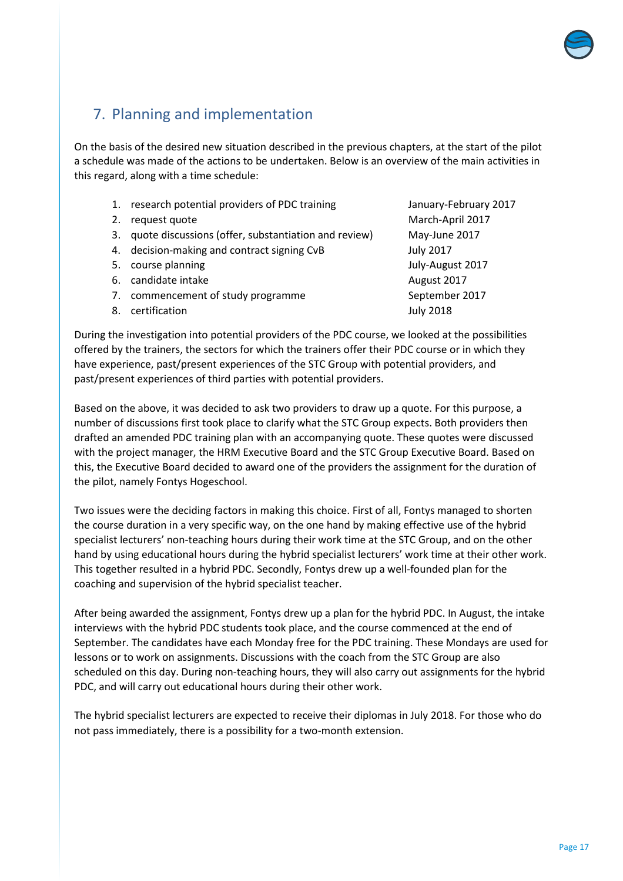

## <span id="page-16-0"></span>7. Planning and implementation

On the basis of the desired new situation described in the previous chapters, at the start of the pilot a schedule was made of the actions to be undertaken. Below is an overview of the main activities in this regard, along with a time schedule:

- 1. research potential providers of PDC training Theorem Manuary-February 2017
- 2. request quote March-April 2017
- 3. quote discussions (offer, substantiation and review) May-June 2017
- 4. decision-making and contract signing CvB July 2017
- 5. course planning and the set of the set of the July-August 2017
- 6. candidate intake August 2017
- 7. commencement of study programme September 2017
- 8. certification and the set of the set of the set of the set of the set of the set of the set of the set of the set of the set of the set of the set of the set of the set of the set of the set of the set of the set of the

During the investigation into potential providers of the PDC course, we looked at the possibilities offered by the trainers, the sectors for which the trainers offer their PDC course or in which they have experience, past/present experiences of the STC Group with potential providers, and past/present experiences of third parties with potential providers.

Based on the above, it was decided to ask two providers to draw up a quote. For this purpose, a number of discussions first took place to clarify what the STC Group expects. Both providers then drafted an amended PDC training plan with an accompanying quote. These quotes were discussed with the project manager, the HRM Executive Board and the STC Group Executive Board. Based on this, the Executive Board decided to award one of the providers the assignment for the duration of the pilot, namely Fontys Hogeschool.

Two issues were the deciding factors in making this choice. First of all, Fontys managed to shorten the course duration in a very specific way, on the one hand by making effective use of the hybrid specialist lecturers' non-teaching hours during their work time at the STC Group, and on the other hand by using educational hours during the hybrid specialist lecturers' work time at their other work. This together resulted in a hybrid PDC. Secondly, Fontys drew up a well-founded plan for the coaching and supervision of the hybrid specialist teacher.

After being awarded the assignment, Fontys drew up a plan for the hybrid PDC. In August, the intake interviews with the hybrid PDC students took place, and the course commenced at the end of September. The candidates have each Monday free for the PDC training. These Mondays are used for lessons or to work on assignments. Discussions with the coach from the STC Group are also scheduled on this day. During non-teaching hours, they will also carry out assignments for the hybrid PDC, and will carry out educational hours during their other work.

The hybrid specialist lecturers are expected to receive their diplomas in July 2018. For those who do not pass immediately, there is a possibility for a two-month extension.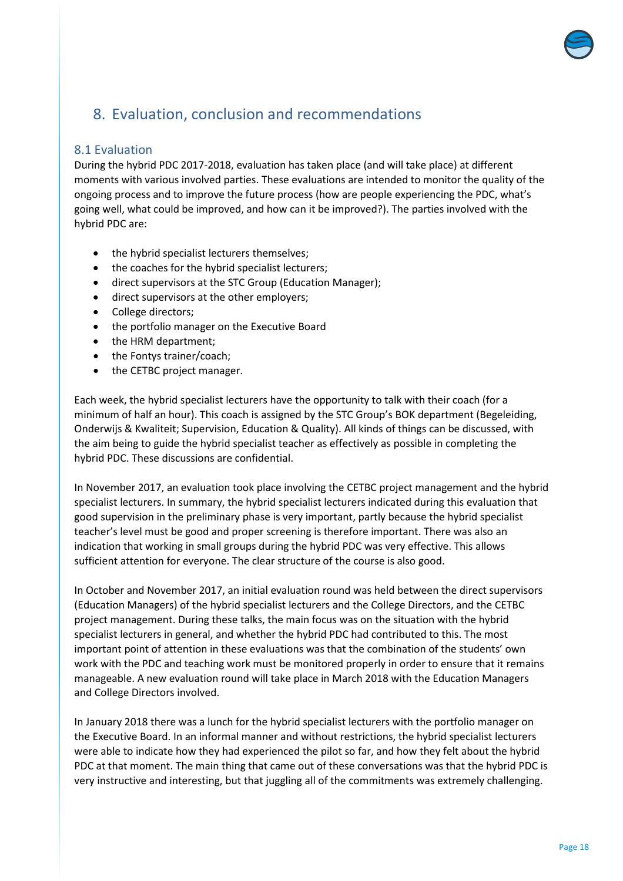# <span id="page-17-0"></span>8. Evaluation, conclusion and recommendations

#### <span id="page-17-1"></span>8.1 Evaluation

During the hybrid PDC 2017-2018, evaluation has taken place (and will take place) at different moments with various involved parties. These evaluations are intended to monitor the quality of the ongoing process and to improve the future process (how are people experiencing the PDC, what's going well, what could be improved, and how can it be improved?). The parties involved with the hybrid PDC are:

- the hybrid specialist lecturers themselves;
- the coaches for the hybrid specialist lecturers;
- direct supervisors at the STC Group (Education Manager);
- direct supervisors at the other employers;
- College directors;
- the portfolio manager on the Executive Board
- the HRM department;
- the Fontys trainer/coach;
- the CETBC project manager.

Each week, the hybrid specialist lecturers have the opportunity to talk with their coach (for a minimum of half an hour). This coach is assigned by the STC Group's BOK department (Begeleiding, Onderwijs & Kwaliteit; Supervision, Education & Quality). All kinds of things can be discussed, with the aim being to guide the hybrid specialist teacher as effectively as possible in completing the hybrid PDC. These discussions are confidential.

In November 2017, an evaluation took place involving the CETBC project management and the hybrid specialist lecturers. In summary, the hybrid specialist lecturers indicated during this evaluation that good supervision in the preliminary phase is very important, partly because the hybrid specialist teacher's level must be good and proper screening is therefore important. There was also an indication that working in small groups during the hybrid PDC was very effective. This allows sufficient attention for everyone. The clear structure of the course is also good.

In October and November 2017, an initial evaluation round was held between the direct supervisors (Education Managers) of the hybrid specialist lecturers and the College Directors, and the CETBC project management. During these talks, the main focus was on the situation with the hybrid specialist lecturers in general, and whether the hybrid PDC had contributed to this. The most important point of attention in these evaluations was that the combination of the students' own work with the PDC and teaching work must be monitored properly in order to ensure that it remains manageable. A new evaluation round will take place in March 2018 with the Education Managers and College Directors involved.

In January 2018 there was a lunch for the hybrid specialist lecturers with the portfolio manager on the Executive Board. In an informal manner and without restrictions, the hybrid specialist lecturers were able to indicate how they had experienced the pilot so far, and how they felt about the hybrid PDC at that moment. The main thing that came out of these conversations was that the hybrid PDC is very instructive and interesting, but that juggling all of the commitments was extremely challenging.